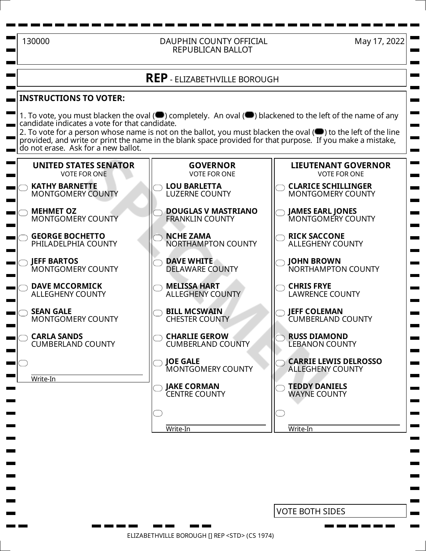## 130000 DAUPHIN COUNTY OFFICIAL REPUBLICAN BALLOT

May 17, 2022

## **REP** - ELIZABETHVILLE BOROUGH

## **INSTRUCTIONS TO VOTER:**

1. To vote, you must blacken the oval  $(\blacksquare)$  completely. An oval  $(\blacksquare)$  blackened to the left of the name of any candidate indicates a vote for that candidate.

2. To vote for a person whose name is not on the ballot, you must blacken the oval ( $\bullet$ ) to the left of the line provided, and write or print the name in the blank space provided for that purpose. If you make a mistake, do not erase. Ask for a new ballot.



VOTE BOTH SIDES